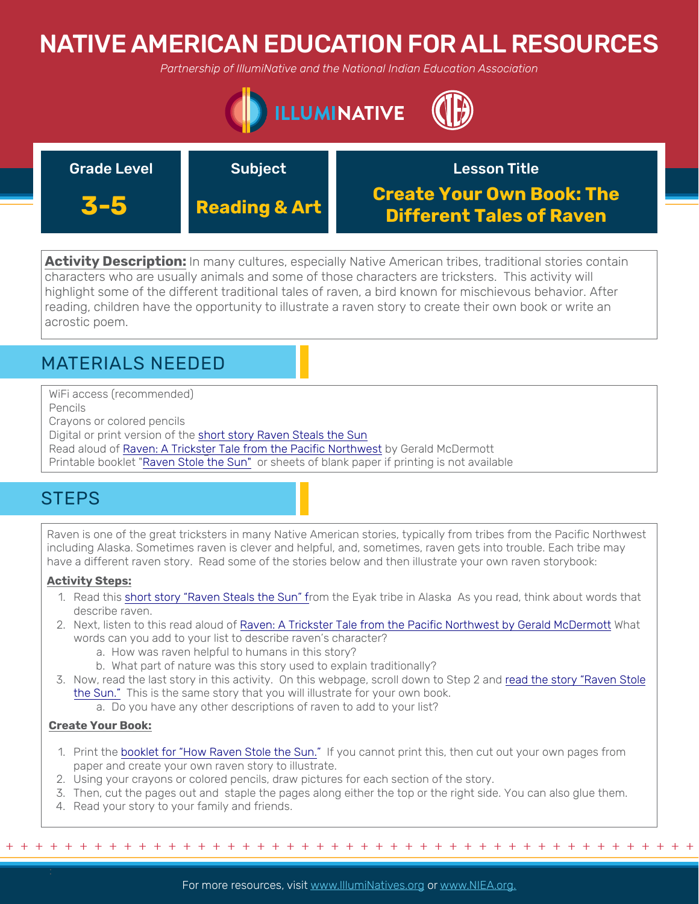# NATIVE AMERICAN EDUCATION FOR ALL RESOURCES

*Partnership of IllumiNative and the National Indian Education Association*



| <b>Grade Level</b> | Subject                  | <b>Lesson Title</b>                                                 |
|--------------------|--------------------------|---------------------------------------------------------------------|
| 3-5                | <b>Reading &amp; Art</b> | <b>Create Your Own Book: The</b><br><b>Different Tales of Raven</b> |

**Activity Description:** In many cultures, especially Native American tribes, traditional stories contain characters who are usually animals and some of those characters are tricksters. This activity will highlight some of the different traditional tales of raven, a bird known for mischievous behavior. After reading, children have the opportunity to illustrate a raven story to create their own book or write an acrostic poem.

### MATERIALS NEEDED

WiFi access (recommended) Pencils

Crayons or colored pencils

Digital or print version of the [short story Raven Steals the Sun](http://www.native-languages.org/eyakstory3.htm) 

Read aloud of [Raven: A Trickster Tale from the Pacific Northwest](https://www.youtube.com/watch?v=2FbLtc7dluU) by Gerald McDermott

Printable booklet "[Raven Stole the Sun"](https://secureservercdn.net/198.71.233.254/b0d.061.myftpupload.com/wp-content/uploads/2019/04/How-Raven-Stole-The-Sun.pdf) or sheets of blank paper if printing is not available

## **STEPS**

Raven is one of the great tricksters in many Native American stories, typically from tribes from the Pacific Northwest including Alaska. Sometimes raven is clever and helpful, and, sometimes, raven gets into trouble. Each tribe may have a different raven story. Read some of the stories below and then illustrate your own raven storybook:

### **Activity Steps:**

- 1. Read this [short story "Raven Steals the Sun" fr](http://www.native-languages.org/eyakstory3.htm)om the Eyak tribe in Alaska As you read, think about words that describe raven.
- 2. Next, listen to this read aloud of [Raven: A Trickster Tale from the Pacific Northwest by Gerald McDermott](https://www.youtube.com/watch?v=2FbLtc7dluU) What words can you add to your list to describe raven's character?
	- a. How was raven helpful to humans in this story?
	- b. What part of nature was this story used to explain traditionally?
- 3. [Now, read the last story in this activity. On this webpage, scroll down to Step 2 and read the story "Raven Stole](https://layers-of-learning.com/raven-stole-sun-native-american-raven-legend/) the Sun." This is the same story that you will illustrate for your own book.
	- a. Do you have any other descriptions of raven to add to your list?

### **Create Your Book:**

- 1. Print the [booklet for "How Raven Stole the Sun."](https://secureservercdn.net/198.71.233.254/b0d.061.myftpupload.com/wp-content/uploads/2019/04/How-Raven-Stole-The-Sun.pdf) If you cannot print this, then cut out your own pages from paper and create your own raven story to illustrate.
- 2. Using your crayons or colored pencils, draw pictures for each section of the story.
- 3. Then, cut the pages out and staple the pages along either the top or the right side. You can also glue them.
- 4. Read your story to your family and friends.

+ + + + + + + + + + + + + + + + + + + + + + + + + + + + + + + + + + + + + + + + + + + + + + + +